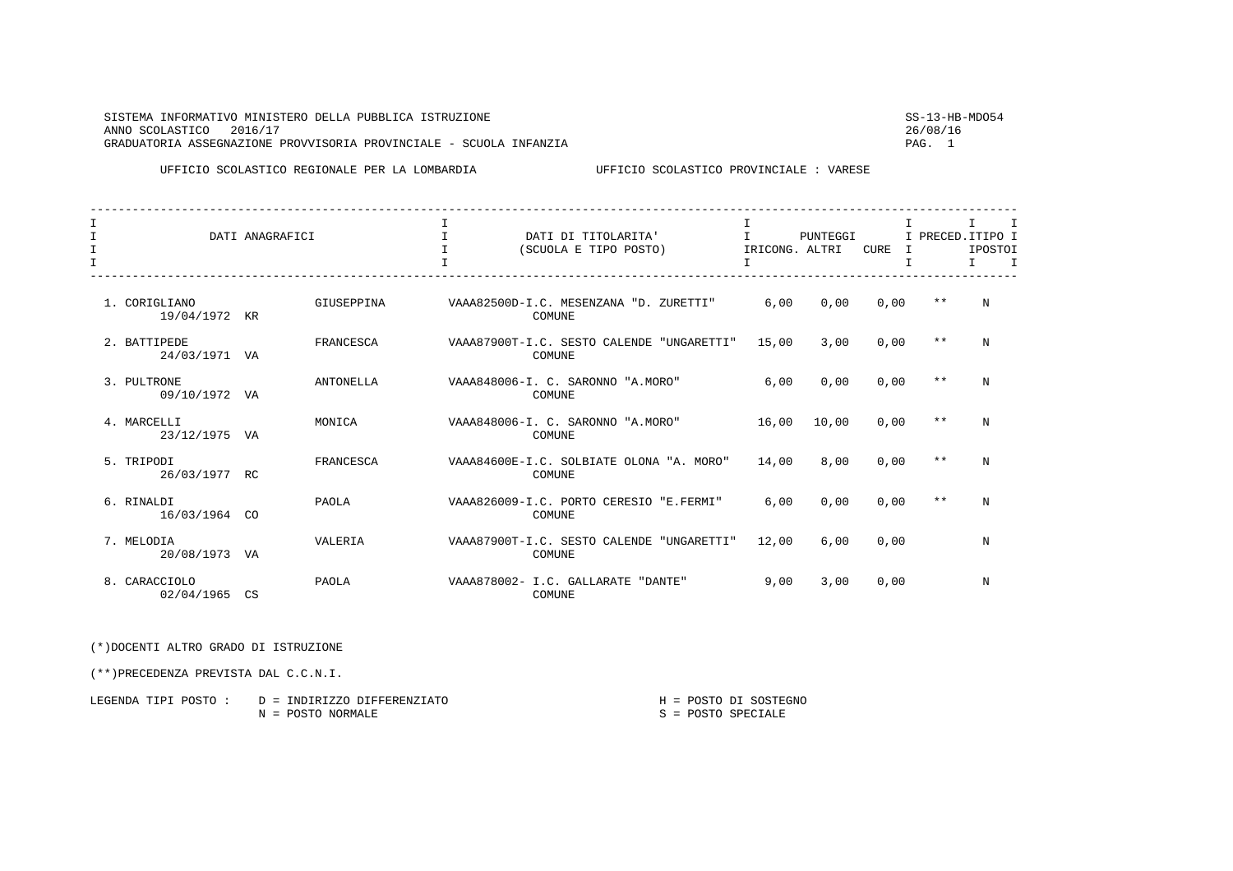| <b>STSTEMA</b><br>INFORMATIVO MINISTERO DELLA PUBBLICA ISTRUZIONE        | $CC-12-HP-MDOF$ |
|--------------------------------------------------------------------------|-----------------|
| 2016/17<br>ANNO SCOLASTICO                                               | 26/08/16        |
| PROVVISORIA PROVINCIALE - SCUOLA<br>GRADUATORIA ASSEGNAZIONE<br>TNFANZTA | PAG.            |

UFFICIO SCOLASTICO REGIONALE PER LA LOMBARDIA UFFICIO SCOLASTICO PROVINCIALE : VARESE

| $\mathsf{T}$<br>$\mathbf I$<br>I |                                | DATI ANAGRAFICI |            | T<br>$\mathbf I$ | DATI DI TITOLARITA'<br>(SCUOLA E TIPO POSTO)               | I<br>T.<br>IRICONG. ALTRI<br>I | PUNTEGGI | CURE | T<br>I<br>Т | $\mathsf{T}$<br>I PRECED. ITIPO I<br>IPOSTOI<br>T. | $\mathbf{I}$ |
|----------------------------------|--------------------------------|-----------------|------------|------------------|------------------------------------------------------------|--------------------------------|----------|------|-------------|----------------------------------------------------|--------------|
|                                  | 1. CORIGLIANO<br>19/04/1972 KR |                 | GIUSEPPINA |                  | VAAA82500D-I.C. MESENZANA "D. ZURETTI"<br>COMUNE           | 6.00                           | 0,00     | 0,00 |             | $***$<br>N                                         |              |
|                                  | 2. BATTIPEDE<br>24/03/1971 VA  |                 | FRANCESCA  |                  | VAAA87900T-I.C. SESTO CALENDE "UNGARETTI"<br>COMUNE        | 15,00                          | 3.00     | 0.00 | $* *$       | N                                                  |              |
|                                  | 3. PULTRONE<br>09/10/1972 VA   |                 | ANTONELLA  |                  | VAAA848006-I. C. SARONNO "A.MORO"<br>COMUNE                | 6.00                           | 0.00     | 0,00 | $***$       | N                                                  |              |
|                                  | 4. MARCELLI<br>23/12/1975 VA   |                 | MONICA     |                  | VAAA848006-I. C. SARONNO "A.MORO"<br>COMUNE                | 16,00                          | 10,00    | 0,00 |             | $***$<br>N                                         |              |
|                                  | 5. TRIPODI<br>26/03/1977 RC    |                 | FRANCESCA  |                  | VAAA84600E-I.C. SOLBIATE OLONA "A. MORO"<br>COMUNE         | 14,00                          | 8.00     | 0.00 | $***$       | N                                                  |              |
|                                  | 6. RINALDI<br>16/03/1964 CO    |                 | PAOLA      |                  | VAAA826009-I.C. PORTO CERESIO "E.FERMI"<br>COMUNE          | 6.00                           | 0.00     | 0.00 | $* *$       | N                                                  |              |
|                                  | 7. MELODIA<br>20/08/1973 VA    |                 | VALERIA    |                  | VAAA87900T-I.C. SESTO CALENDE "UNGARETTI"<br><b>COMUNE</b> | 12,00                          | 6.00     | 0.00 |             | N                                                  |              |
|                                  | 8. CARACCIOLO<br>02/04/1965 CS |                 | PAOLA      |                  | VAAA878002- I.C. GALLARATE "DANTE"<br><b>COMUNE</b>        | 9,00                           | 3,00     | 0,00 |             | N                                                  |              |

(\*)DOCENTI ALTRO GRADO DI ISTRUZIONE

(\*\*)PRECEDENZA PREVISTA DAL C.C.N.I.

| LEGENDA TIPI POSTO : | D = INDIRIZZO DIFFERENZIATO |  | H = POSTO DI SOSTEGNO |
|----------------------|-----------------------------|--|-----------------------|
|                      | N = POSTO NORMALE           |  | $S = POSTO$ SPECIALE  |